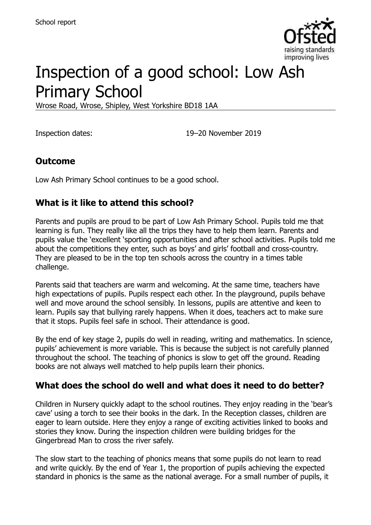

# Inspection of a good school: Low Ash Primary School

Wrose Road, Wrose, Shipley, West Yorkshire BD18 1AA

Inspection dates: 19–20 November 2019

#### **Outcome**

Low Ash Primary School continues to be a good school.

#### **What is it like to attend this school?**

Parents and pupils are proud to be part of Low Ash Primary School. Pupils told me that learning is fun. They really like all the trips they have to help them learn. Parents and pupils value the 'excellent 'sporting opportunities and after school activities. Pupils told me about the competitions they enter, such as boys' and girls' football and cross-country. They are pleased to be in the top ten schools across the country in a times table challenge.

Parents said that teachers are warm and welcoming. At the same time, teachers have high expectations of pupils. Pupils respect each other. In the playground, pupils behave well and move around the school sensibly. In lessons, pupils are attentive and keen to learn. Pupils say that bullying rarely happens. When it does, teachers act to make sure that it stops. Pupils feel safe in school. Their attendance is good.

By the end of key stage 2, pupils do well in reading, writing and mathematics. In science, pupils' achievement is more variable. This is because the subject is not carefully planned throughout the school. The teaching of phonics is slow to get off the ground. Reading books are not always well matched to help pupils learn their phonics.

#### **What does the school do well and what does it need to do better?**

Children in Nursery quickly adapt to the school routines. They enjoy reading in the 'bear's cave' using a torch to see their books in the dark. In the Reception classes, children are eager to learn outside. Here they enjoy a range of exciting activities linked to books and stories they know. During the inspection children were building bridges for the Gingerbread Man to cross the river safely.

The slow start to the teaching of phonics means that some pupils do not learn to read and write quickly. By the end of Year 1, the proportion of pupils achieving the expected standard in phonics is the same as the national average. For a small number of pupils, it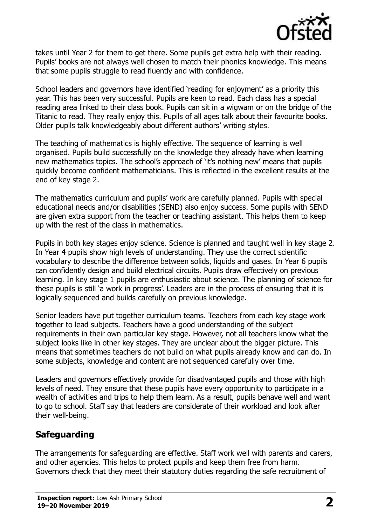

takes until Year 2 for them to get there. Some pupils get extra help with their reading. Pupils' books are not always well chosen to match their phonics knowledge. This means that some pupils struggle to read fluently and with confidence.

School leaders and governors have identified 'reading for enjoyment' as a priority this year. This has been very successful. Pupils are keen to read. Each class has a special reading area linked to their class book. Pupils can sit in a wigwam or on the bridge of the Titanic to read. They really enjoy this. Pupils of all ages talk about their favourite books. Older pupils talk knowledgeably about different authors' writing styles.

The teaching of mathematics is highly effective. The sequence of learning is well organised. Pupils build successfully on the knowledge they already have when learning new mathematics topics. The school's approach of 'it's nothing new' means that pupils quickly become confident mathematicians. This is reflected in the excellent results at the end of key stage 2.

The mathematics curriculum and pupils' work are carefully planned. Pupils with special educational needs and/or disabilities (SEND) also enjoy success. Some pupils with SEND are given extra support from the teacher or teaching assistant. This helps them to keep up with the rest of the class in mathematics.

Pupils in both key stages enjoy science. Science is planned and taught well in key stage 2. In Year 4 pupils show high levels of understanding. They use the correct scientific vocabulary to describe the difference between solids, liquids and gases. In Year 6 pupils can confidently design and build electrical circuits. Pupils draw effectively on previous learning. In key stage 1 pupils are enthusiastic about science. The planning of science for these pupils is still 'a work in progress'. Leaders are in the process of ensuring that it is logically sequenced and builds carefully on previous knowledge.

Senior leaders have put together curriculum teams. Teachers from each key stage work together to lead subjects. Teachers have a good understanding of the subject requirements in their own particular key stage. However, not all teachers know what the subject looks like in other key stages. They are unclear about the bigger picture. This means that sometimes teachers do not build on what pupils already know and can do. In some subjects, knowledge and content are not sequenced carefully over time.

Leaders and governors effectively provide for disadvantaged pupils and those with high levels of need. They ensure that these pupils have every opportunity to participate in a wealth of activities and trips to help them learn. As a result, pupils behave well and want to go to school. Staff say that leaders are considerate of their workload and look after their well-being.

### **Safeguarding**

The arrangements for safeguarding are effective. Staff work well with parents and carers, and other agencies. This helps to protect pupils and keep them free from harm. Governors check that they meet their statutory duties regarding the safe recruitment of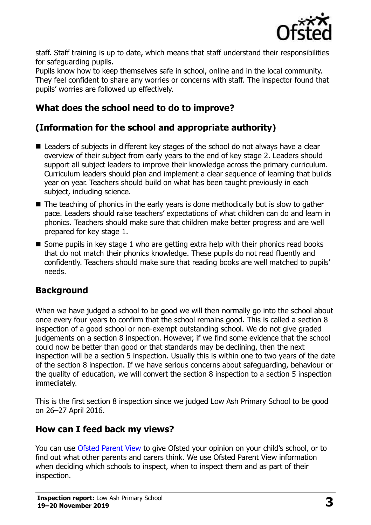

staff. Staff training is up to date, which means that staff understand their responsibilities for safeguarding pupils.

Pupils know how to keep themselves safe in school, online and in the local community. They feel confident to share any worries or concerns with staff. The inspector found that pupils' worries are followed up effectively.

# **What does the school need to do to improve?**

# **(Information for the school and appropriate authority)**

- Leaders of subjects in different key stages of the school do not always have a clear overview of their subject from early years to the end of key stage 2. Leaders should support all subject leaders to improve their knowledge across the primary curriculum. Curriculum leaders should plan and implement a clear sequence of learning that builds year on year. Teachers should build on what has been taught previously in each subject, including science.
- $\blacksquare$  The teaching of phonics in the early years is done methodically but is slow to gather pace. Leaders should raise teachers' expectations of what children can do and learn in phonics. Teachers should make sure that children make better progress and are well prepared for key stage 1.
- $\blacksquare$  Some pupils in key stage 1 who are getting extra help with their phonics read books that do not match their phonics knowledge. These pupils do not read fluently and confidently. Teachers should make sure that reading books are well matched to pupils' needs.

### **Background**

When we have judged a school to be good we will then normally go into the school about once every four years to confirm that the school remains good. This is called a section 8 inspection of a good school or non-exempt outstanding school. We do not give graded judgements on a section 8 inspection. However, if we find some evidence that the school could now be better than good or that standards may be declining, then the next inspection will be a section 5 inspection. Usually this is within one to two years of the date of the section 8 inspection. If we have serious concerns about safeguarding, behaviour or the quality of education, we will convert the section 8 inspection to a section 5 inspection immediately.

This is the first section 8 inspection since we judged Low Ash Primary School to be good on 26–27 April 2016.

### **How can I feed back my views?**

You can use [Ofsted Parent View](https://parentview.ofsted.gov.uk/) to give Ofsted your opinion on your child's school, or to find out what other parents and carers think. We use Ofsted Parent View information when deciding which schools to inspect, when to inspect them and as part of their inspection.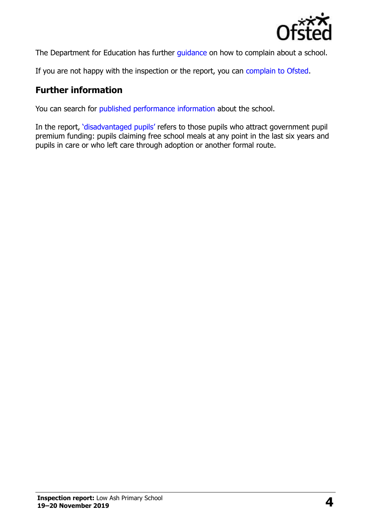

The Department for Education has further quidance on how to complain about a school.

If you are not happy with the inspection or the report, you can [complain to Ofsted.](https://www.gov.uk/complain-ofsted-report)

#### **Further information**

You can search for [published performance information](http://www.compare-school-performance.service.gov.uk/) about the school.

In the report, '[disadvantaged pupils](http://www.gov.uk/guidance/pupil-premium-information-for-schools-and-alternative-provision-settings)' refers to those pupils who attract government pupil premium funding: pupils claiming free school meals at any point in the last six years and pupils in care or who left care through adoption or another formal route.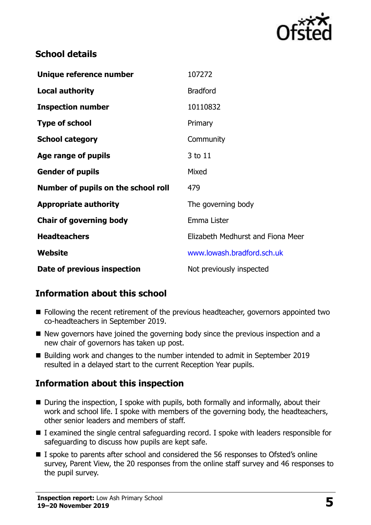

#### **School details**

| Unique reference number             | 107272                            |
|-------------------------------------|-----------------------------------|
| <b>Local authority</b>              | <b>Bradford</b>                   |
| <b>Inspection number</b>            | 10110832                          |
| <b>Type of school</b>               | Primary                           |
| <b>School category</b>              | Community                         |
| Age range of pupils                 | 3 to 11                           |
| <b>Gender of pupils</b>             | Mixed                             |
| Number of pupils on the school roll | 479                               |
| <b>Appropriate authority</b>        | The governing body                |
| <b>Chair of governing body</b>      | Emma Lister                       |
| <b>Headteachers</b>                 | Elizabeth Medhurst and Fiona Meer |
| Website                             | www.lowash.bradford.sch.uk        |
| Date of previous inspection         | Not previously inspected          |

### **Information about this school**

- Following the recent retirement of the previous headteacher, governors appointed two co-headteachers in September 2019.
- New governors have joined the governing body since the previous inspection and a new chair of governors has taken up post.
- Building work and changes to the number intended to admit in September 2019 resulted in a delayed start to the current Reception Year pupils.

### **Information about this inspection**

- During the inspection, I spoke with pupils, both formally and informally, about their work and school life. I spoke with members of the governing body, the headteachers, other senior leaders and members of staff.
- I examined the single central safeguarding record. I spoke with leaders responsible for safeguarding to discuss how pupils are kept safe.
- I spoke to parents after school and considered the 56 responses to Ofsted's online survey, Parent View, the 20 responses from the online staff survey and 46 responses to the pupil survey.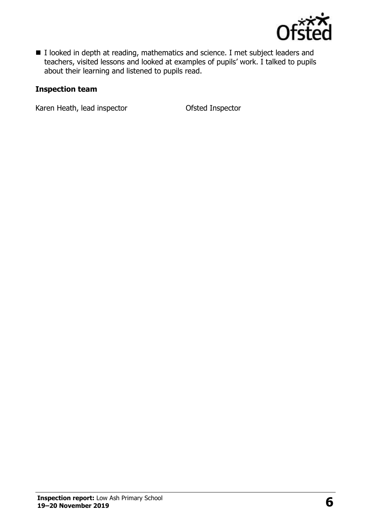

■ I looked in depth at reading, mathematics and science. I met subject leaders and teachers, visited lessons and looked at examples of pupils' work. I talked to pupils about their learning and listened to pupils read.

#### **Inspection team**

Karen Heath, lead inspector **Calculary Control** Ofsted Inspector